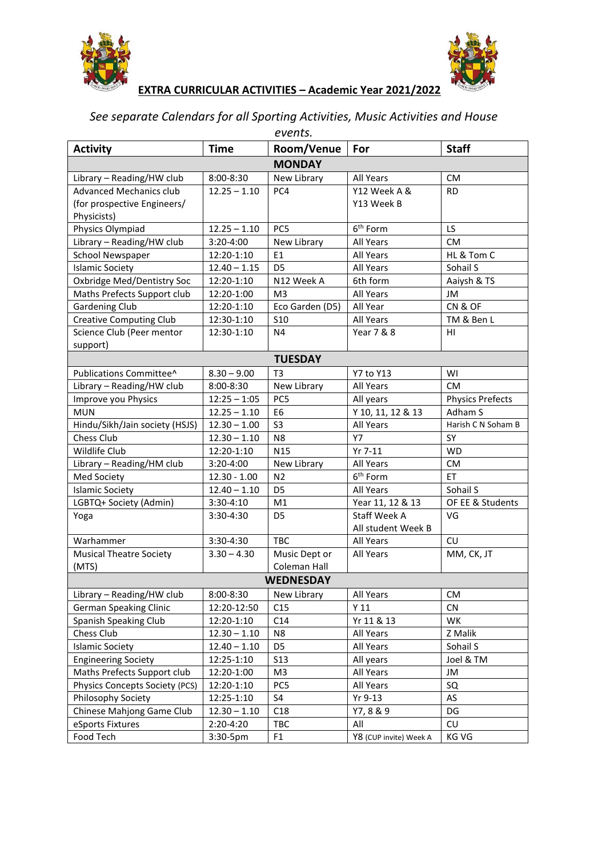



## **EXTRA CURRICULAR ACTIVITIES – Academic Year 2021/2022**

## *See separate Calendars for all Sporting Activities, Music Activities and House events.*

| <b>Activity</b>                       | Time           | Room/Venue      | For                    | <b>Staff</b>            |  |  |  |
|---------------------------------------|----------------|-----------------|------------------------|-------------------------|--|--|--|
| <b>MONDAY</b>                         |                |                 |                        |                         |  |  |  |
| Library - Reading/HW club             | 8:00-8:30      | New Library     | All Years              | <b>CM</b>               |  |  |  |
| <b>Advanced Mechanics club</b>        | $12.25 - 1.10$ | PC4             | Y12 Week A &           | <b>RD</b>               |  |  |  |
| (for prospective Engineers/           |                |                 | Y13 Week B             |                         |  |  |  |
| Physicists)                           |                |                 |                        |                         |  |  |  |
| Physics Olympiad                      | $12.25 - 1.10$ | PC5             | 6 <sup>th</sup> Form   | LS                      |  |  |  |
| Library - Reading/HW club             | 3:20-4:00      | New Library     | All Years              | <b>CM</b>               |  |  |  |
| School Newspaper                      | 12:20-1:10     | E1              | All Years              | HL & Tom C              |  |  |  |
| <b>Islamic Society</b>                | $12.40 - 1.15$ | D <sub>5</sub>  | All Years              | Sohail S                |  |  |  |
| Oxbridge Med/Dentistry Soc            | 12:20-1:10     | N12 Week A      | 6th form               | Aaiysh & TS             |  |  |  |
| Maths Prefects Support club           | 12:20-1:00     | M <sub>3</sub>  | All Years              | JM                      |  |  |  |
| <b>Gardening Club</b>                 | 12:20-1:10     | Eco Garden (D5) | All Year               | CN&OF                   |  |  |  |
| <b>Creative Computing Club</b>        | 12:30-1:10     | <b>S10</b>      | All Years              | TM & Ben L              |  |  |  |
| Science Club (Peer mentor             | 12:30-1:10     | N <sub>4</sub>  | Year 7 & 8             | HI                      |  |  |  |
| support)                              |                |                 |                        |                         |  |  |  |
| <b>TUESDAY</b>                        |                |                 |                        |                         |  |  |  |
| Publications Committee^               | $8.30 - 9.00$  | T <sub>3</sub>  | Y7 to Y13              | WI                      |  |  |  |
| Library - Reading/HW club             | 8:00-8:30      | New Library     | All Years              | <b>CM</b>               |  |  |  |
| Improve you Physics                   | $12:25 - 1:05$ | PC5             | All years              | <b>Physics Prefects</b> |  |  |  |
| <b>MUN</b>                            | $12.25 - 1.10$ | E <sub>6</sub>  | Y 10, 11, 12 & 13      | Adham S                 |  |  |  |
| Hindu/Sikh/Jain society (HSJS)        | $12.30 - 1.00$ | S <sub>3</sub>  | All Years              | Harish C N Soham B      |  |  |  |
| Chess Club                            | $12.30 - 1.10$ | N <sub>8</sub>  | Y7                     | SY                      |  |  |  |
| Wildlife Club                         | 12:20-1:10     | N <sub>15</sub> | Yr 7-11                | <b>WD</b>               |  |  |  |
| Library - Reading/HM club             | 3:20-4:00      | New Library     | All Years              | <b>CM</b>               |  |  |  |
| Med Society                           | $12.30 - 1.00$ | N <sub>2</sub>  | 6 <sup>th</sup> Form   | ET                      |  |  |  |
| <b>Islamic Society</b>                | $12.40 - 1.10$ | D <sub>5</sub>  | All Years              | Sohail S                |  |  |  |
| LGBTQ+ Society (Admin)                | $3:30-4:10$    | M1              | Year 11, 12 & 13       | OF EE & Students        |  |  |  |
| Yoga                                  | 3:30-4:30      | D <sub>5</sub>  | <b>Staff Week A</b>    | VG                      |  |  |  |
|                                       |                |                 | All student Week B     |                         |  |  |  |
| Warhammer                             | 3:30-4:30      | <b>TBC</b>      | All Years              | CU                      |  |  |  |
| <b>Musical Theatre Society</b>        | $3.30 - 4.30$  | Music Dept or   | <b>All Years</b>       | MM, CK, JT              |  |  |  |
| (MTS)                                 |                | Coleman Hall    |                        |                         |  |  |  |
| <b>WEDNESDAY</b>                      |                |                 |                        |                         |  |  |  |
| Library - Reading/HW club             | 8:00-8:30      | New Library     | All Years              | CM                      |  |  |  |
| <b>German Speaking Clinic</b>         | 12:20-12:50    | C15             | Y <sub>11</sub>        | CN.                     |  |  |  |
| Spanish Speaking Club                 | 12:20-1:10     | C14             | Yr 11 & 13             | WK                      |  |  |  |
| Chess Club                            | $12.30 - 1.10$ | N8              | All Years              | Z Malik                 |  |  |  |
| <b>Islamic Society</b>                | $12.40 - 1.10$ | D <sub>5</sub>  | All Years              | Sohail S                |  |  |  |
| <b>Engineering Society</b>            | 12:25-1:10     | <b>S13</b>      | All years              | Joel & TM               |  |  |  |
| Maths Prefects Support club           | 12:20-1:00     | M <sub>3</sub>  | All Years              | JM                      |  |  |  |
| <b>Physics Concepts Society (PCS)</b> | 12:20-1:10     | PC5             | All Years              | SQ                      |  |  |  |
| Philosophy Society                    | 12:25-1:10     | S4              | Yr 9-13                | AS                      |  |  |  |
| Chinese Mahjong Game Club             | $12.30 - 1.10$ | C18             | Y7, 8 & 9              | DG                      |  |  |  |
| eSports Fixtures                      | 2:20-4:20      | TBC             | All                    | CU                      |  |  |  |
| Food Tech                             | 3:30-5pm       | F <sub>1</sub>  | Y8 (CUP invite) Week A | KG VG                   |  |  |  |